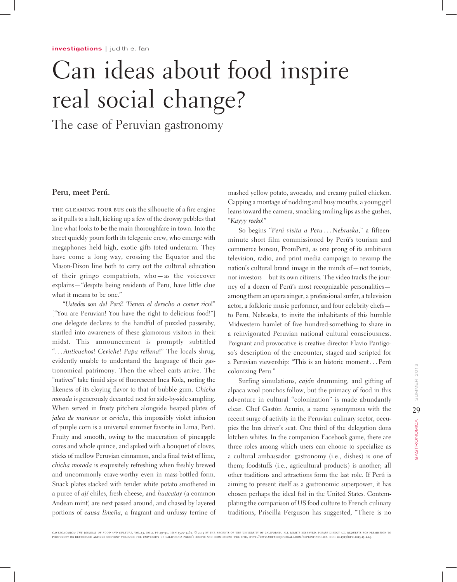investigations | judith e. fan

# Can ideas about food inspire real social change?

The case of Peruvian gastronomy

#### Peru, meet Perú.

THE GLEAMING TOUR BUS cuts the silhouette of a fire engine as it pulls to a halt, kicking up a few of the drowsy pebbles that line what looks to be the main thoroughfare in town. Into the street quickly pours forth its telegenic crew, who emerge with megaphones held high, exotic gifts toted underarm. They have come a long way, crossing the Equator and the Mason-Dixon line both to carry out the cultural education of their gringo compatriots, who—as the voiceover explains—''despite being residents of Peru, have little clue what it means to be one.''

''Ustedes son del Peru´! Tienen el derecho a comer rico!'' [''You are Peruvian! You have the right to delicious food!''] one delegate declares to the handful of puzzled passersby, startled into awareness of these glamorous visitors in their midst. This announcement is promptly subtitled "... Anticuchos! Ceviche! Papa rellena!" The locals shrug, evidently unable to understand the language of their gastronomical patrimony. Then the wheel carts arrive. The "natives" take timid sips of fluorescent Inca Kola, noting the likeness of its cloying flavor to that of bubble gum. Chicha morada is generously decanted next for side-by-side sampling. When served in frosty pitchers alongside heaped plates of jalea de mariscos or ceviche, this impossibly violet infusion of purple corn is a universal summer favorite in Lima, Peru. ´ Fruity and smooth, owing to the maceration of pineapple cores and whole quince, and spiked with a bouquet of cloves, sticks of mellow Peruvian cinnamon, and a final twist of lime, chicha morada is exquisitely refreshing when freshly brewed and uncommonly crave-worthy even in mass-bottled form. Snack plates stacked with tender white potato smothered in a puree of *ají* chiles, fresh cheese, and *huacatay* (a common Andean mint) are next passed around, and chased by layered portions of causa limeña, a fragrant and unfussy terrine of mashed yellow potato, avocado, and creamy pulled chicken. Capping a montage of nodding and busy mouths, a young girl leans toward the camera, smacking smiling lips as she gushes, ''Kayyy reeko!''

So begins "Perú visita a Peru ... Nebraska," a fifteenminute short film commissioned by Perú's tourism and commerce bureau, PromPerú, as one prong of its ambitious television, radio, and print media campaign to revamp the nation's cultural brand image in the minds of—not tourists, nor investors—but its own citizens. The video tracks the journey of a dozen of Perú's most recognizable personalities among them an opera singer, a professional surfer, a television actor, a folkloric music performer, and four celebrity chefs to Peru, Nebraska, to invite the inhabitants of this humble Midwestern hamlet of five hundred-something to share in a reinvigorated Peruvian national cultural consciousness. Poignant and provocative is creative director Flavio Pantigoso's description of the encounter, staged and scripted for a Peruvian viewership: "This is an historic moment ... Perú colonizing Peru.''

Surfing simulations, cajón drumming, and gifting of alpaca wool ponchos follow, but the primacy of food in this adventure in cultural "colonization" is made abundantly clear. Chef Gastón Acurio, a name synonymous with the recent surge of activity in the Peruvian culinary sector, occupies the bus driver's seat. One third of the delegation dons kitchen whites. In the companion Facebook game, there are three roles among which users can choose to specialize as a cultural ambassador: gastronomy (i.e., dishes) is one of them; foodstuffs (i.e., agricultural products) is another; all other traditions and attractions form the last role. If Perú is aiming to present itself as a gastronomic superpower, it has chosen perhaps the ideal foil in the United States. Contemplating the comparison of US food culture to French culinary traditions, Priscilla Ferguson has suggested, ''There is no

GASTRONOMICA: THE JOURNAL OF FOOD AND CULTURE, VOL.13, NO.2, PP.29-40, ISSN 1529-3262. © 2013 BY THE REGENTS OF THE UNIVERSITY OF CALIFORNIA. ALL RIGHTS RESERVED. PLEASE DIRECT ALL REQUESTS FOR PERMISSION TO photocopy or reproduce article content through the university of california press's rights and permissions web site, http://www.ucpressjournals.com/reprintinfo.asp. doi: 10.1525/gfc.2013.13.2.29.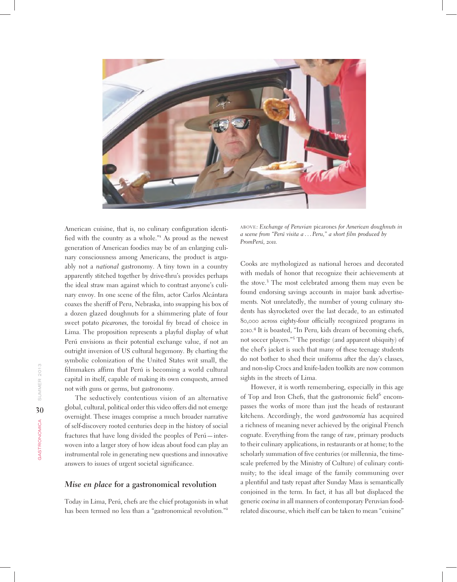

American cuisine, that is, no culinary configuration identified with the country as a whole.''1 As proud as the newest generation of American foodies may be of an enlarging culinary consciousness among Americans, the product is arguably not a national gastronomy. A tiny town in a country apparently stitched together by drive-thru's provides perhaps the ideal straw man against which to contrast anyone's culinary envoy. In one scene of the film, actor Carlos Alcántara coaxes the sheriff of Peru, Nebraska, into swapping his box of a dozen glazed doughnuts for a shimmering plate of four sweet potato picarones, the toroidal fry bread of choice in Lima. The proposition represents a playful display of what Perú envisions as their potential exchange value, if not an outright inversion of US cultural hegemony. By charting the symbolic colonization of the United States writ small, the filmmakers affirm that Perú is becoming a world cultural capital in itself, capable of making its own conquests, armed not with guns or germs, but gastronomy.

The seductively contentious vision of an alternative global, cultural, political order this video offers did not emerge overnight. These images comprise a much broader narrative of self-discovery rooted centuries deep in the history of social fractures that have long divided the peoples of Perú-interwoven into a larger story of how ideas about food can play an instrumental role in generating new questions and innovative answers to issues of urgent societal significance.

#### Mise en place for a gastronomical revolution

Today in Lima, Perú, chefs are the chief protagonists in what has been termed no less than a "gastronomical revolution."<sup>2</sup>

ABOVE: Exchange of Peruvian picarones for American doughnuts in a scene from "Perú visita  $a \dots$ Peru," a short film produced by PromPerú, 2011.

Cooks are mythologized as national heroes and decorated with medals of honor that recognize their achievements at the stove.<sup>3</sup> The most celebrated among them may even be found endorsing savings accounts in major bank advertisements. Not unrelatedly, the number of young culinary students has skyrocketed over the last decade, to an estimated 80,000 across eighty-four officially recognized programs in 2010.4 It is boasted, ''In Peru, kids dream of becoming chefs, not soccer players.''5 The prestige (and apparent ubiquity) of the chef's jacket is such that many of these teenage students do not bother to shed their uniforms after the day's classes, and non-slip Crocs and knife-laden toolkits are now common sights in the streets of Lima.

However, it is worth remembering, especially in this age of Top and Iron Chefs, that the gastronomic field $^6$  encompasses the works of more than just the heads of restaurant kitchens. Accordingly, the word gastronomía has acquired a richness of meaning never achieved by the original French cognate. Everything from the range of raw, primary products to their culinary applications, in restaurants or at home; to the scholarly summation of five centuries (or millennia, the timescale preferred by the Ministry of Culture) of culinary continuity; to the ideal image of the family communing over a plentiful and tasty repast after Sunday Mass is semantically conjoined in the term. In fact, it has all but displaced the generic cocina in all manners of contemporary Peruvian foodrelated discourse, which itself can be taken to mean ''cuisine''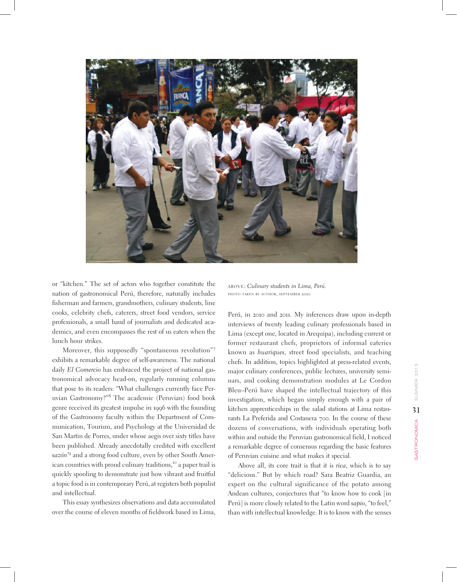

or ''kitchen.'' The set of actors who together constitute the nation of gastronomical Perú, therefore, naturally includes fisherman and farmers, grandmothers, culinary students, line cooks, celebrity chefs, caterers, street food vendors, service professionals, a small band of journalists and dedicated academics, and even encompasses the rest of us eaters when the lunch hour strikes.

Moreover, this supposedly "spontaneous revolution"7 exhibits a remarkable degree of self-awareness. The national daily El Comercio has embraced the project of national gastronomical advocacy head-on, regularly running columns that pose to its readers: ''What challenges currently face Peruvian Gastronomy?''<sup>8</sup> The academic (Peruvian) food book genre received its greatest impulse in 1996 with the founding of the Gastronomy faculty within the Department of Communication, Tourism, and Psychology at the Universidad de San Martin de Porres, under whose aegis over sixty titles have been published. Already anecdotally credited with excellent sazón<sup>79</sup> and a strong food culture, even by other South American countries with proud culinary traditions,<sup>10</sup> a paper trail is quickly spooling to demonstrate just how vibrant and fruitful a topic food is in contemporary Perú, at registers both populist and intellectual.

This essay synthesizes observations and data accumulated over the course of eleven months of fieldwork based in Lima,

ABOVE: Culinary students in Lima, Perú. PHOTO TAKEN BY AUTHOR, SEPTEMBER 2010

Perú, in 2010 and 2011. My inferences draw upon in-depth interviews of twenty leading culinary professionals based in Lima (except one, located in Arequipa), including current or former restaurant chefs, proprietors of informal eateries known as huariques, street food specialists, and teaching chefs. In addition, topics highlighted at press-related events, major culinary conferences, public lectures, university seminars, and cooking demonstration modules at Le Cordon Bleu–Perú have shaped the intellectual trajectory of this investigation, which began simply enough with a pair of kitchen apprenticeships in the salad stations at Lima restaurants La Preferida and Costanera 700. In the course of these dozens of conversations, with individuals operating both within and outside the Peruvian gastronomical field, I noticed a remarkable degree of consensus regarding the basic features of Peruvian cuisine and what makes it special.

Above all, its core trait is that it is *rica*, which is to say ''delicious.'' But by which road? Sara Beatriz Guardia, an expert on the cultural significance of the potato among Andean cultures, conjectures that ''to know how to cook [in Perú] is more closely related to the Latin word sapio, "to feel," than with intellectual knowledge. It is to know with the senses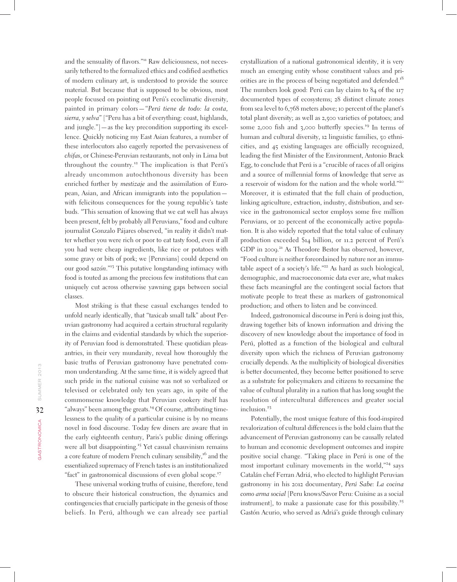and the sensuality of flavors."<sup>11</sup> Raw deliciousness, not necessarily tethered to the formalized ethics and codified aesthetics of modern culinary art, is understood to provide the source material. But because that is supposed to be obvious, most people focused on pointing out Perú's ecoclimatic diversity, painted in primary colors—"Perú tiene de todo: la costa, sierra, y selva" ["Peru has a bit of everything: coast, highlands, and jungle.'']—as the key precondition supporting its excellence. Quickly noticing my East Asian features, a number of these interlocutors also eagerly reported the pervasiveness of chifas, or Chinese-Peruvian restaurants, not only in Lima but throughout the country.<sup>12</sup> The implication is that Perú's already uncommon autochthonous diversity has been enriched further by mestizaje and the assimilation of European, Asian, and African immigrants into the population with felicitous consequences for the young republic's taste buds. ''This sensation of knowing that we eat well has always been present, felt by probably all Peruvians,'' food and culture journalist Gonzalo Pájares observed, "in reality it didn't matter whether you were rich or poor to eat tasty food, even if all you had were cheap ingredients, like rice or potatoes with some gravy or bits of pork; we [Peruvians] could depend on our good  $sazón.$ <sup>"13</sup> This putative longstanding intimacy with food is touted as among the precious few institutions that can uniquely cut across otherwise yawning gaps between social classes.

Most striking is that these casual exchanges tended to unfold nearly identically, that ''taxicab small talk'' about Peruvian gastronomy had acquired a certain structural regularity in the claims and evidential standards by which the superiority of Peruvian food is demonstrated. These quotidian pleasantries, in their very mundanity, reveal how thoroughly the basic truths of Peruvian gastronomy have penetrated common understanding. At the same time, it is widely agreed that such pride in the national cuisine was not so verbalized or televised or celebrated only ten years ago, in spite of the commonsense knowledge that Peruvian cookery itself has "always" been among the greats.<sup>14</sup> Of course, attributing timelessness to the quality of a particular cuisine is by no means novel in food discourse. Today few diners are aware that in the early eighteenth century, Paris's public dining offerings were all but disappointing.<sup>15</sup> Yet casual chauvinism remains a core feature of modern French culinary sensibility,16 and the essentialized supremacy of French tastes is an institutionalized "fact" in gastronomical discussions of even global scope.<sup>17</sup>

These universal working truths of cuisine, therefore, tend to obscure their historical construction, the dynamics and contingencies that crucially participate in the genesis of those beliefs. In Perú, although we can already see partial

crystallization of a national gastronomical identity, it is very much an emerging entity whose constituent values and priorities are in the process of being negotiated and defended.<sup>18</sup> The numbers look good: Perú can lay claim to  $84$  of the  $117$ documented types of ecosystems; 28 distinct climate zones from sea level to 6,768 meters above; 10 percent of the planet's total plant diversity; as well as 2,500 varieties of potatoes; and some 2,000 fish and 3,000 butterfly species.<sup>19</sup> In terms of human and cultural diversity, 12 linguistic families, 50 ethnicities, and 45 existing languages are officially recognized, leading the first Minister of the Environment, Antonio Brack Egg, to conclude that Perú is a "crucible of races of all origins and a source of millennial forms of knowledge that serve as a reservoir of wisdom for the nation and the whole world.''20 Moreover, it is estimated that the full chain of production, linking agriculture, extraction, industry, distribution, and service in the gastronomical sector employs some five million Peruvians, or 20 percent of the economically active population. It is also widely reported that the total value of culinary production exceeded \$14 billion, or 11.2 percent of Perú's GDP in 2009.<sup>21</sup> As Theodore Bestor has observed, however, ''Food culture is neither foreordained by nature nor an immutable aspect of a society's life."<sup>22</sup> As hard as such biological, demographic, and macroeconomic data ever are, what makes these facts meaningful are the contingent social factors that motivate people to treat these as markers of gastronomical production; and others to listen and be convinced.

Indeed, gastronomical discourse in Perú is doing just this, drawing together bits of known information and driving the discovery of new knowledge about the importance of food in Perú, plotted as a function of the biological and cultural diversity upon which the richness of Peruvian gastronomy crucially depends. As the multiplicity of biological diversities is better documented, they become better positioned to serve as a substrate for policymakers and citizens to reexamine the value of cultural plurality in a nation that has long sought the resolution of intercultural differences and greater social inclusion.<sup>23</sup>

Potentially, the most unique feature of this food-inspired revalorization of cultural differences is the bold claim that the advancement of Peruvian gastronomy can be causally related to human and economic development outcomes and inspire positive social change. "Taking place in Perú is one of the most important culinary movements in the world,"<sup>24</sup> says Catalán chef Ferran Adriá, who elected to highlight Peruvian gastronomy in his 2012 documentary, Perú Sabe: La cocina como arma social [Peru knows/Savor Peru: Cuisine as a social instrument], to make a passionate case for this possibility.<sup>25</sup> Gastón Acurio, who served as Adriá's guide through culinary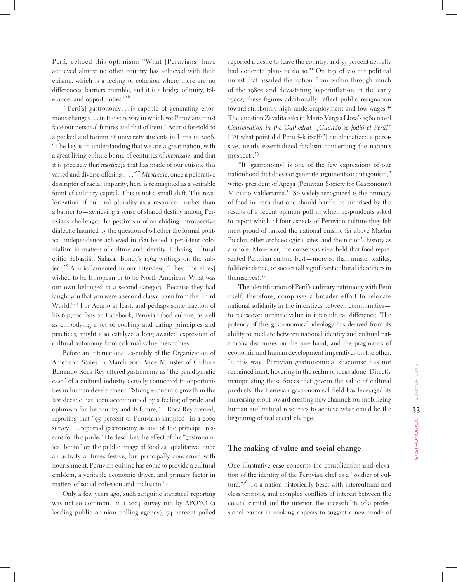Perú, echoed this optimism: "What [Peruvians] have achieved almost no other country has achieved with their cuisine, which is a feeling of cohesion where there are no differences, barriers crumble, and it is a bridge of unity, tolerance, and opportunities."<sup>26</sup>

"[Perú's] gastronomy ... is capable of generating enormous changes ... in the very way in which we Peruvians must face our personal futures and that of Peru," Acurio foretold to a packed auditorium of university students in Lima in 2006. ''The key is in understanding that we are a great nation, with a great living culture borne of centuries of mestizaje, and that it is precisely that mestizaje that has made of our cuisine this varied and diverse offering  $\ldots$ ."<sup>27</sup> Mestizaje, once a pejorative descriptor of racial impurity, here is reimagined as a veritable fount of culinary capital. This is not a small shift. The revalorization of cultural plurality as a resource—rather than a barrier to—achieving a sense of shared destiny among Peruvians challenges the pessimism of an abiding introspective dialectic haunted by the question of whether the formal political independence achieved in 1821 belied a persistent colonialism in matters of culture and identity. Echoing cultural critic Sebastian Salazar Bondy's 1964 writings on the sub- ´ ject, $28$  Acurio lamented in our interview, "They [the elites] wished to be European or to be North American. What was our own belonged to a second category. Because they had taught you that you were a second class citizen from the Third World.''<sup>29</sup> For Acurio at least, and perhaps some fraction of his 642,000 fans on Facebook, Peruvian food culture, as well as embodying a set of cooking and eating principles and practices, might also catalyze a long awaited expression of cultural autonomy from colonial value hierarchies.

Before an international assembly of the Organization of American States in March 2011, Vice Minister of Culture Bernardo Roca Rey offered gastronomy as ''the paradigmatic case'' of a cultural industry densely connected to opportunities in human development. ''Strong economic growth in the last decade has been accompanied by a feeling of pride and optimism for the country and its future,''—Roca Rey averred, reporting that ''95 percent of Peruvians sampled [in a 2009 survey]... reported gastronomy as one of the principal reasons for this pride." He describes the effect of the "gastronomical boom'' on the public image of food as ''qualitative: once an activity at times festive, but principally concerned with nourishment. Peruvian cuisine has come to provide a cultural emblem, a veritable economic driver, and primary factor in matters of social cohesion and inclusion.''30

Only a few years ago, such sanguine statistical reporting was not so common. In a 2004 survey run by APOYO (a leading public opinion polling agency), 74 percent polled

reported a desire to leave the country, and 53 percent actually had concrete plans to do so. $3<sup>1</sup>$  On top of violent political unrest that assailed the nation from within through much of the 1980s and devastating hyperinflation in the early 1990s, these figures additionally reflect public resignation toward stubbornly high underemployment and low wages.<sup>32</sup> The question Zavalita asks in Mario Vargas Llosa's 1969 novel Conversation in the Cathedral "¿Cuándo se jodió el Perú?" ["At what point did Perú f-k itself?"] emblematized a pervasive, nearly essentialized fatalism concerning the nation's prospects.<sup>33</sup>

''It [gastronomy] is one of the few expressions of our nationhood that does not generate arguments or antagonism,'' writes president of Apega (Peruvian Society for Gastronomy) Mariano Valderrama.<sup>34</sup> So widely recognized is the primacy of food in Perú that one should hardly be surprised by the results of a recent opinion poll in which respondents asked to report which of four aspects of Peruvian culture they felt most proud of ranked the national cuisine far above Machu Picchu, other archaeological sites, and the nation's history as a whole. Moreover, the consensus view held that food represented Peruvian culture best—more so than music, textiles, folkloric dance, or soccer (all significant cultural identifiers in themselves).<sup>35</sup>

The identification of Perú's culinary patrimony with Perú itself, therefore, comprises a broader effort to relocate national solidarity in the interstices between communities to rediscover intrinsic value in intercultural difference. The potency of this gastronomical ideology has derived from its ability to mediate between national identity and cultural patrimony discourses on the one hand, and the pragmatics of economic and human development imperatives on the other. In this way, Peruvian gastronomical discourse has not remained inert, hovering in the realm of ideas alone. Directly manipulating those forces that govern the value of cultural products, the Peruvian gastronomical field has leveraged its increasing clout toward creating new channels for mobilizing human and natural resources to achieve what could be the beginning of real social change.

### The making of value and social change

One illustrative case concerns the consolidation and elevation of the identity of the Peruvian chef as a ''soldier of culture."<sup>36</sup> To a nation historically beset with intercultural and class tensions, and complex conflicts of interest between the coastal capital and the interior, the accessibility of a professional career in cooking appears to suggest a new mode of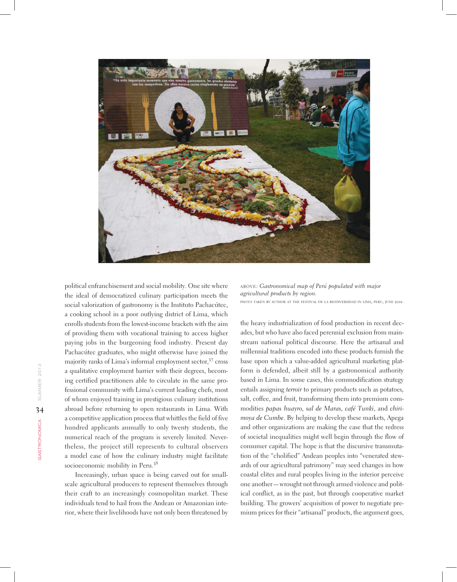

political enfranchisement and social mobility. One site where the ideal of democratized culinary participation meets the social valorization of gastronomy is the Instituto Pachacútec, a cooking school in a poor outlying district of Lima, which enrolls students from the lowest-income brackets with the aim of providing them with vocational training to access higher paying jobs in the burgeoning food industry. Present day Pachacútec graduates, who might otherwise have joined the majority ranks of Lima's informal employment sector,<sup>37</sup> cross a qualitative employment barrier with their degrees, becoming certified practitioners able to circulate in the same professional community with Lima's current leading chefs, most of whom enjoyed training in prestigious culinary institutions abroad before returning to open restaurants in Lima. With a competitive application process that whittles the field of five hundred applicants annually to only twenty students, the numerical reach of the program is severely limited. Nevertheless, the project still represents to cultural observers a model case of how the culinary industry might facilitate socioeconomic mobility in Peru.<sup>38</sup>

Increasingly, urban space is being carved out for smallscale agricultural producers to represent themselves through their craft to an increasingly cosmopolitan market. These individuals tend to hail from the Andean or Amazonian interior, where their livelihoods have not only been threatened by ABOVE: Gastronomical map of Perú populated with major agricultural products by region.

PHOTO TAKEN BY AUTHOR AT THE FESTIVAL DE LA BIODIVERSIDAD IN LIMA, PERU, JUNE 2011.

the heavy industrialization of food production in recent decades, but who have also faced perennial exclusion from mainstream national political discourse. Here the artisanal and millennial traditions encoded into these products furnish the base upon which a value-added agricultural marketing platform is defended, albeit still by a gastronomical authority based in Lima. In some cases, this commodification strategy entails assigning terroir to primary products such as potatoes, salt, coffee, and fruit, transforming them into premium commodities papas huayro, sal de Maras, café Tunki, and chirimoya de Cumbe. By helping to develop these markets, Apega and other organizations are making the case that the redress of societal inequalities might well begin through the flow of consumer capital. The hope is that the discursive transmutation of the "cholified" Andean peoples into "venerated stewards of our agricultural patrimony'' may seed changes in how coastal elites and rural peoples living in the interior perceive one another—wrought not through armed violence and political conflict, as in the past, but through cooperative market building. The growers' acquisition of power to negotiate premium prices for their "artisanal" products, the argument goes,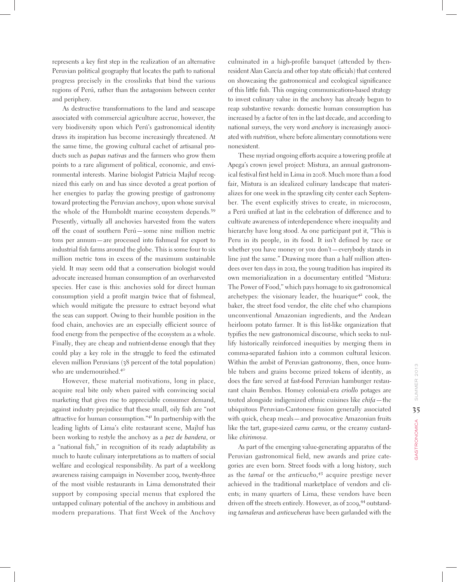represents a key first step in the realization of an alternative Peruvian political geography that locates the path to national progress precisely in the crosslinks that bind the various regions of Perú, rather than the antagonism between center and periphery.

As destructive transformations to the land and seascape associated with commercial agriculture accrue, however, the very biodiversity upon which Perú's gastronomical identity draws its inspiration has become increasingly threatened. At the same time, the growing cultural cachet of artisanal products such as *papas nativas* and the farmers who grow them points to a rare alignment of political, economic, and environmental interests. Marine biologist Patricia Majluf recognized this early on and has since devoted a great portion of her energies to parlay the growing prestige of gastronomy toward protecting the Peruvian anchovy, upon whose survival the whole of the Humboldt marine ecosystem depends.<sup>39</sup> Presently, virtually all anchovies harvested from the waters off the coast of southern Perú—some nine million metric tons per annum—are processed into fishmeal for export to industrial fish farms around the globe. This is some four to six million metric tons in excess of the maximum sustainable yield. It may seem odd that a conservation biologist would advocate increased human consumption of an overharvested species. Her case is this: anchovies sold for direct human consumption yield a profit margin twice that of fishmeal, which would mitigate the pressure to extract beyond what the seas can support. Owing to their humble position in the food chain, anchovies are an especially efficient source of food energy from the perspective of the ecosystem as a whole. Finally, they are cheap and nutrient-dense enough that they could play a key role in the struggle to feed the estimated eleven million Peruvians (38 percent of the total population) who are undernourished.<sup>40</sup>

However, these material motivations, long in place, acquire real bite only when paired with convincing social marketing that gives rise to appreciable consumer demand, against industry prejudice that these small, oily fish are ''not attractive for human consumption."<sup>41</sup> In partnership with the leading lights of Lima's elite restaurant scene, Majluf has been working to restyle the anchovy as a pez de bandera, or a ''national fish,'' in recognition of its ready adaptability as much to haute culinary interpretations as to matters of social welfare and ecological responsibility. As part of a weeklong awareness raising campaign in November 2009, twenty-three of the most visible restaurants in Lima demonstrated their support by composing special menus that explored the untapped culinary potential of the anchovy in ambitious and modern preparations. That first Week of the Anchovy culminated in a high-profile banquet (attended by thenresident Alan García and other top state officials) that centered on showcasing the gastronomical and ecological significance of this little fish. This ongoing communications-based strategy to invest culinary value in the anchovy has already begun to reap substantive rewards: domestic human consumption has increased by a factor of ten in the last decade, and according to national surveys, the very word anchovy is increasingly associated with nutrition, where before alimentary connotations were nonexistent.

These myriad ongoing efforts acquire a towering profile at Apega's crown jewel project: Mistura, an annual gastronomical festival first held in Lima in 2008. Much more than a food fair, Mistura is an idealized culinary landscape that materializes for one week in the sprawling city center each September. The event explicitly strives to create, in microcosm, a Perú unified at last in the celebration of difference and to cultivate awareness of interdependence where inequality and hierarchy have long stood. As one participant put it, "This is Peru in its people, in its food. It isn't defined by race or whether you have money or you don't—everybody stands in line just the same.'' Drawing more than a half million attendees over ten days in 2012, the young tradition has inspired its own memorialization in a documentary entitled ''Mistura: The Power of Food,'' which pays homage to six gastronomical archetypes: the visionary leader, the huarique $42$  cook, the baker, the street food vendor, the elite chef who champions unconventional Amazonian ingredients, and the Andean heirloom potato farmer. It is this list-like organization that typifies the new gastronomical discourse, which seeks to nullify historically reinforced inequities by merging them in comma-separated fashion into a common cultural lexicon. Within the ambit of Peruvian gastronomy, then, once humble tubers and grains become prized tokens of identity, as does the fare served at fast-food Peruvian hamburger restaurant chain Bembos. Homey colonial-era criollo potages are touted alongside indigenized ethnic cuisines like chifa—the ubiquitous Peruvian-Cantonese fusion generally associated with quick, cheap meals—and provocative Amazonian fruits like the tart, grape-sized camu camu, or the creamy custardlike chirimoya.

As part of the emerging value-generating apparatus of the Peruvian gastronomical field, new awards and prize categories are even born. Street foods with a long history, such as the tamal or the anticucho, $43$  acquire prestige never achieved in the traditional marketplace of vendors and clients; in many quarters of Lima, these vendors have been driven off the streets entirely. However, as of 2009,<sup>44</sup> outstanding tamaleras and anticucheras have been garlanded with the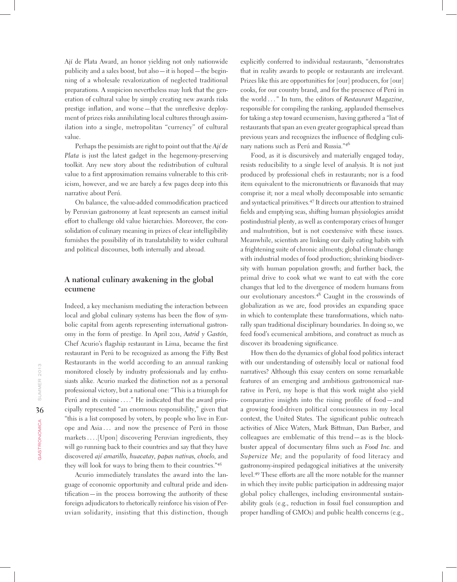Aj´ı de Plata Award, an honor yielding not only nationwide publicity and a sales boost, but also—it is hoped—the beginning of a wholesale revalorization of neglected traditional preparations. A suspicion nevertheless may lurk that the generation of cultural value by simply creating new awards risks prestige inflation, and worse—that the unreflexive deployment of prizes risks annihilating local cultures through assimilation into a single, metropolitan "currency" of cultural value.

Perhaps the pessimists are right to point out that the  $Aji$  de Plata is just the latest gadget in the hegemony-preserving toolkit. Any new story about the redistribution of cultural value to a first approximation remains vulnerable to this criticism, however, and we are barely a few pages deep into this narrative about Perú.

On balance, the value-added commodification practiced by Peruvian gastronomy at least represents an earnest initial effort to challenge old value hierarchies. Moreover, the consolidation of culinary meaning in prizes of clear intelligibility furnishes the possibility of its translatability to wider cultural and political discourses, both internally and abroad.

## A national culinary awakening in the global ecumene

Indeed, a key mechanism mediating the interaction between local and global culinary systems has been the flow of symbolic capital from agents representing international gastronomy in the form of prestige. In April 2011, Astrid  $y$  Gastón, Chef Acurio's flagship restaurant in Lima, became the first restaurant in Perú to be recognized as among the Fifty Best Restaurants in the world according to an annual ranking monitored closely by industry professionals and lay enthusiasts alike. Acurio marked the distinction not as a personal professional victory, but a national one: ''This is a triumph for Perú and its cuisine ...." He indicated that the award principally represented ''an enormous responsibility,'' given that ''this is a list composed by voters, by people who live in Europe and Asia ... and now the presence of Perú in those markets ... .[Upon] discovering Peruvian ingredients, they will go running back to their countries and say that they have discovered ají amarillo, huacatay, papas nativas, choclo, and they will look for ways to bring them to their countries.''<sup>45</sup>

Acurio immediately translates the award into the language of economic opportunity and cultural pride and identification—in the process borrowing the authority of these foreign adjudicators to rhetorically reinforce his vision of Peruvian solidarity, insisting that this distinction, though explicitly conferred to individual restaurants, ''demonstrates that in reality awards to people or restaurants are irrelevant. Prizes like this are opportunities for [our] producers, for [our] cooks, for our country brand, and for the presence of Perú in the world ..." In turn, the editors of Restaurant Magazine, responsible for compiling the ranking, applauded themselves for taking a step toward ecumenism, having gathered a ''list of restaurants that span an even greater geographical spread than previous years and recognizes the influence of fledgling culinary nations such as Perú and Russia."46

Food, as it is discursively and materially engaged today, resists reducibility to a single level of analysis. It is not just produced by professional chefs in restaurants; nor is a food item equivalent to the micronutrients or flavanoids that may comprise it; nor a meal wholly decomposable into semantic and syntactical primitives.<sup>47</sup> It directs our attention to strained fields and emptying seas, shifting human physiologies amidst postindustrial plenty, as well as contemporary crises of hunger and malnutrition, but is not coextensive with these issues. Meanwhile, scientists are linking our daily eating habits with a frightening suite of chronic ailments; global climate change with industrial modes of food production; shrinking biodiversity with human population growth; and further back, the primal drive to cook what we want to eat with the core changes that led to the divergence of modern humans from our evolutionary ancestors.<sup>48</sup> Caught in the crosswinds of globalization as we are, food provides an expanding space in which to contemplate these transformations, which naturally span traditional disciplinary boundaries. In doing so, we feed food's ecumenical ambitions, and construct as much as discover its broadening significance.

How then do the dynamics of global food politics interact with our understanding of ostensibly local or national food narratives? Although this essay centers on some remarkable features of an emerging and ambitious gastronomical narrative in Perú, my hope is that this work might also yield comparative insights into the rising profile of food—and a growing food-driven political consciousness in my local context, the United States. The significant public outreach activities of Alice Waters, Mark Bittman, Dan Barber, and colleagues are emblematic of this trend—as is the blockbuster appeal of documentary films such as Food Inc. and Supersize Me; and the popularity of food literacy and gastronomy-inspired pedagogical initiatives at the university level.<sup>49</sup> These efforts are all the more notable for the manner in which they invite public participation in addressing major global policy challenges, including environmental sustainability goals (e.g., reduction in fossil fuel consumption and proper handling of GMOs) and public health concerns (e.g.,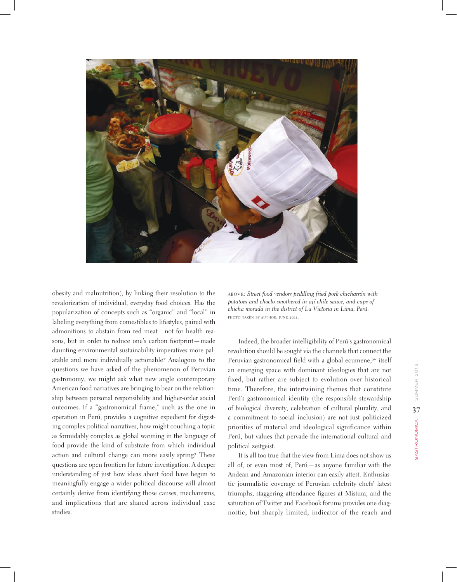

obesity and malnutrition), by linking their resolution to the revalorization of individual, everyday food choices. Has the popularization of concepts such as ''organic'' and ''local'' in labeling everything from comestibles to lifestyles, paired with admonitions to abstain from red meat—not for health reasons, but in order to reduce one's carbon footprint—made daunting environmental sustainability imperatives more palatable and more individually actionable? Analogous to the questions we have asked of the phenomenon of Peruvian gastronomy, we might ask what new angle contemporary American food narratives are bringing to bear on the relationship between personal responsibility and higher-order social outcomes. If a "gastronomical frame," such as the one in operation in Perú, provides a cognitive expedient for digesting complex political narratives, how might couching a topic as formidably complex as global warming in the language of food provide the kind of substrate from which individual action and cultural change can more easily spring? These questions are open frontiers for future investigation. A deeper understanding of just how ideas about food have begun to meaningfully engage a wider political discourse will almost certainly derive from identifying those causes, mechanisms, and implications that are shared across individual case studies.

ABOVE: Street food vendors peddling fried pork chicharrón with potatoes and choclo smothered in ají chile sauce, and cups of chicha morada in the district of La Victoria in Lima, Perú. PHOTO TAKEN BY AUTHOR. JUNE 2011

Indeed, the broader intelligibility of Perú's gastronomical revolution should be sought via the channels that connect the Peruvian gastronomical field with a global ecumene,<sup>50</sup> itself an emerging space with dominant ideologies that are not fixed, but rather are subject to evolution over historical time. Therefore, the intertwining themes that constitute Perú's gastronomical identity (the responsible stewardship of biological diversity, celebration of cultural plurality, and a commitment to social inclusion) are not just politicized priorities of material and ideological significance within Perú, but values that pervade the international cultural and political zeitgeist.

It is all too true that the view from Lima does not show us all of, or even most of,  $Perú—as$  anyone familiar with the Andean and Amazonian interior can easily attest. Enthusiastic journalistic coverage of Peruvian celebrity chefs' latest triumphs, staggering attendance figures at Mistura, and the saturation of Twitter and Facebook forums provides one diagnostic, but sharply limited, indicator of the reach and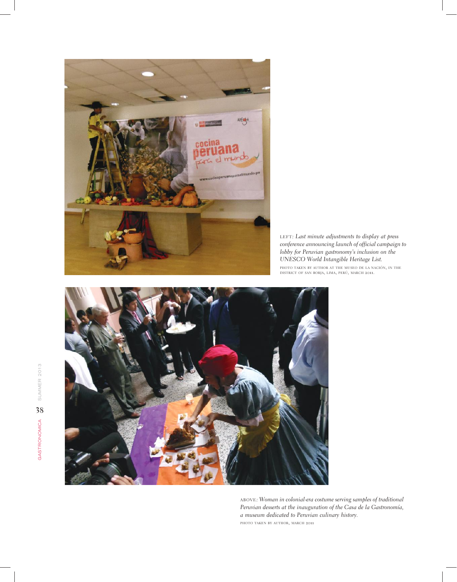

LEFT: Last minute adjustments to display at press conference announcing launch of official campaign to lobby for Peruvian gastronomy's inclusion on the UNESCO World Intangible Heritage List. PHOTO TAKEN BY AUTHOR AT THE MUSEO DE LA NACIÓN, IN THE<br>DISTRICT OF SAN BORJA, LIMA, PERÚ, MARCH 2011.



ABOVE: Woman in colonial-era costume serving samples of traditional Peruvian desserts at the inauguration of the Casa de la Gastronomía, a museum dedicated to Peruvian culinary history. PHOTO TAKEN BY AUTHOR, MARCH 2011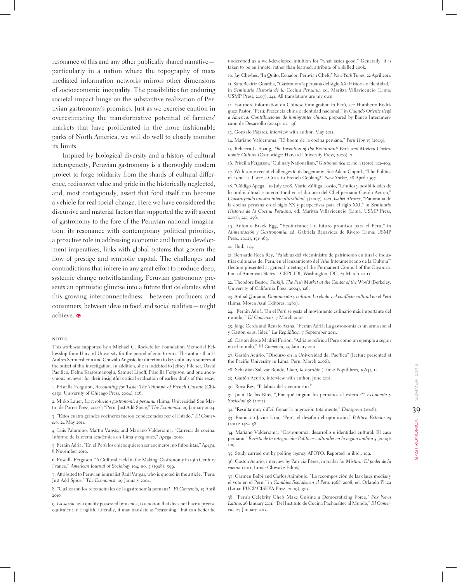resonance of this and any other publically shared narrative particularly in a nation where the topography of mass mediated information networks mirrors other dimensions of socioeconomic inequality. The possibilities for enduring societal impact hinge on the substantive realization of Peruvian gastronomy's promises. Just as we exercise caution in overestimating the transformative potential of farmers' markets that have proliferated in the more fashionable parks of North America, we will do well to closely monitor its limits.

Inspired by biological diversity and a history of cultural heterogeneity, Peruvian gastronomy is a thoroughly modern project to forge solidarity from the shards of cultural difference, rediscover value and pride in the historically neglected, and, most contagiously, assert that food itself can become a vehicle for real social change. Here we have considered the discursive and material factors that supported the swift ascent of gastronomy to the fore of the Peruvian national imagination: its resonance with contemporary political priorities, a proactive role in addressing economic and human development imperatives, links with global systems that govern the flow of prestige and symbolic capital. The challenges and contradictions that inhere in any great effort to produce deep, systemic change notwithstanding, Peruvian gastronomy presents an optimistic glimpse into a future that celebrates what this growing interconnectedness—between producers and consumers, between ideas in food and social realities—might achieve.  $\bullet$ 

#### notes

This work was supported by a Michael C. Rockefeller Foundation Memorial Fellowship from Harvard University for the period of 2010 to 2011. The author thanks Andres Sermersheim and Gonzalo Angosto for direction to key culinary resources at the outset of this investigation. In addition, she is indebted to Jeffrey Pilcher, David Pacifico, Defne Karaosmanoglu, Samuel Lipoff, Priscilla Ferguson, and one anonymous reviewer for their insightful critical evaluation of earlier drafts of this essay.

1. Priscilla Ferguson, Accounting for Taste: The Triumph of French Cuisine (Chicago: University of Chicago Press, 2004), 106.

2. Mirko Lauer, La revolución gastronómica peruana (Lima: Universidad San Martin de Porres Press, 2007); "Peru: Just Add Spice," The Economist, 29 January 2004.

3. "Estos cuatro grandes cocineros fueron condecorados por el Estado," El Comercio, 24 May 2011.

4. Luis Palomino, Martín Vargas, and Mariano Valderrama, "Carreras de cocina: Informe de la oferta académica en Lima y regiones," Apega, 2010.

5. Ferrán Adriá, "En el Perú los chicos quieren ser cocineros, no fútbolistas," Apega, 8 November 2010.

6. Priscilla Ferguson, ''A Cultural Field in the Making: Gastronomy in 19th Century France,'' American Journal of Sociology 104, no. 3 (1998): 599.

7. Attributed to Peruvian journalist Raúl Vargas, who is quoted in the article, "Peru: Just Add Spice,'' The Economist, 29 January 2004.

8. "Cuáles son los retos actuales de la gastronomía peruana?" El Comercio, 15 April 2010.

9. La sazón, as a quality possessed by a cook, is a notion that does not have a precise equivalent in English. Literally, it may translate as ''seasoning,'' but can better be understood as a well-developed intuition for ''what tastes good.'' Generally, it is taken to be an innate, rather than learned, attribute of a skilled cook.

10. Jay Cheshes, ''In Quito, Ecuador, Peruvian Chefs,'' New York Times, 22 April 2011.

11. Sara Beatriz Guardia, "Gastronomía peruana del siglo XX: Historia e identidad," in Seminario Historia de la Cocina Peruana, ed. Maritza Villavicencio (Lima: USMP Press, 2007), 241. All translations are my own.

12. For more information on Chinese immigration to Perú, see Humberto Rodriguez Pastor, "Perú: Presencia china e identidad nacional," in Cuando Oriente llegó a Ámerica: Contribuciones de inmigrantes chinos, prepared by Banco Interamericano de Desarrollo (2004): 115–136.

13. Gonzalo Pájares, interview with author, May 2011.

14. Mariano Valderrama, "El boom de la cocina peruana," Perú Hoy 15 (2009).

15. Rebecca L. Spang, The Invention of the Restaurant: Paris and Modern Gastronomic Culture (Cambridge: Harvard University Press, 2000), 7.

16. Priscilla Ferguson, ''Culinary Nationalism,'' Gastronomica 10, no. 1 (2010): 102–109.

17. With some recent challenges to its hegemony. See Adam Gopnik, ''The Politics of Food: Is There a Crisis in French Cooking?'' New Yorker, 28 April 1997.

18. "Código Apega," 10 July 2008. Mario Zúñiga Lossio, "Límites y posibilidades de lo multicultural e intercultural en el discurso del Chef peruano Gastón Acurio," Construyendo nuestra interculturalidad 4 (2007): 1–21; Isabel Álvarez, "Panorama de la cocina peruana en el siglo XX y perspectivas para el siglo XXI," in Seminario Historia de la Cocina Peruana, ed. Maritza Villavicencio (Lima: USMP Press, 2007), 243–256.

19. Antonio Brack Egg, ''Ecoturismo: Un futuro promisor para el Peru,'' in ´ Alimentación y Gastronomía, ed. Gabriela Benavides de Rivero (Lima: USMP Press, 2002), 151–163.

20. Ibid., 154.

21. Bernardo Roca Rey, ''Palabras del viceministro de patrimonio cultural e industrias culturales del Peru, en el lanzamiento del 'Ano Interamericano de la Cultura''' ~ (lecture presented at general meeting of the Permanent Council of the Organization of American States—CEPCIDI, Washington, DC, 23 March 2011).

22. Theodore Bestor, Tsukiji: The Fish Market at the Center of the World (Berkeley: University of California Press, 2004), 126.

23. Aníbal Quijano, Dominación y cultura: Lo cholo y el conflicto cultural en el Perú (Lima: Mosca Azul Editores, 1980).

24. "Ferrán Adrià: 'En el Perú se gesta el movimiento culinario más importante del mundo,''' El Comercio, 7 March 2010.

25. Jorge Cerda and Renato Arana, "Ferrán Adrià: La gastronomía es un arma social y Gastón es su líder," La República, 7 September 2011.

26. Gastón desde Madrid Fusión, "Adrià se refirió al Perú como un ejemplo a seguir en el mundo,'' El Comercio, 25 January 2011.

27. Gastón Acurio, "Discurso en la Universidad del Pacífico" (lecture presented at the Pacific University in Lima, Peru, March 2006).

28. Sebastián Salazar Bondy, Lima, la horrible (Lima: Populibros, 1964), 11.

29. Gastón Acurio, interview with author, June 2011.

30. Roca Rey, ''Palabras del viceministro.''

31. Juan De los Ríos, "¿Por qué migran los peruanos al exterior?" Economía y Sociedad 58 (2005).

32. "Resulta muy difícil frenar la migración totalmente," Datajoven (2008).

33. Francisco Javier Urra, "Perú, el desafío del optimismo," Política Exterior 25  $(2011): 148 - 158.$ 

34. Mariano Valderrama, "Gastronomía, desarrollo e identidad cultural: El caso peruano," Revista de la integración: Políticas culturales en la region andina 5 (2009): 109.

35. Study carried out by polling agency APOYO. Reported in ibid., 109.

36. Gastón Acurio, interview by Patricia Pérez, in trailer for Mistura: El poder de la cocina (2011; Lima: Chiwake Films).

37. Carmen Balbi and Carlos Arámbulo, "La recomposición de las clases medias y el voto en el Perú," in Cambios Sociales en el Perú: 1968-2008, ed. Orlando Plaza (Lima: PUCP-CISEPA Press, 2009), 303.

38. "Peru's Celebrity Chefs Make Cuisine a Democratizing Force," Fox News Latino, 26 January 2011; "Del Instituto de Cocina Pachacútec al Mundo," El Comercio, 27 January 2013.